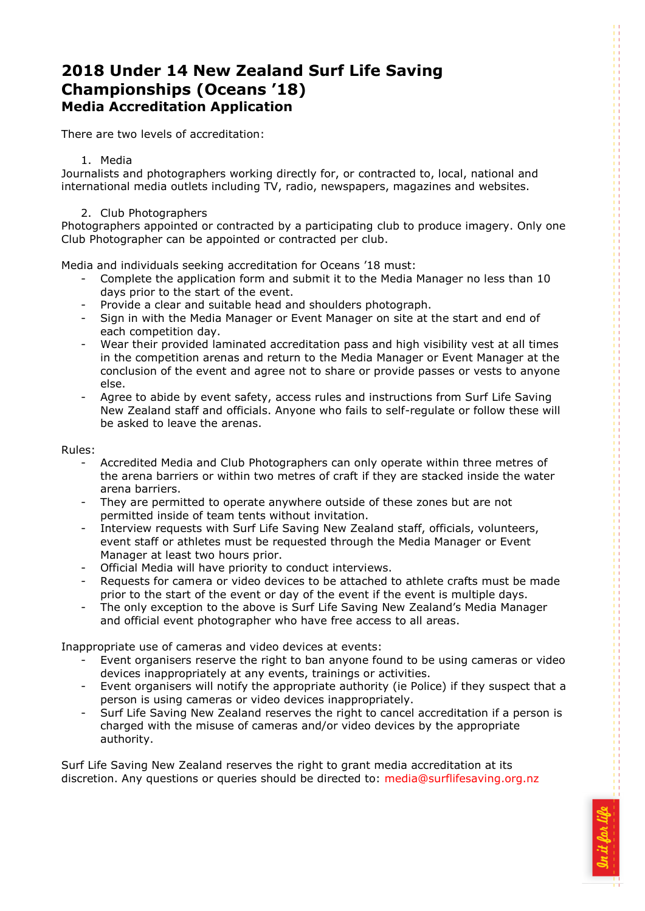# **2018 Under 14 New Zealand Surf Life Saving Championships (Oceans '18) Media Accreditation Application**

There are two levels of accreditation:

### 1. Media

Journalists and photographers working directly for, or contracted to, local, national and international media outlets including TV, radio, newspapers, magazines and websites.

#### 2. Club Photographers

Photographers appointed or contracted by a participating club to produce imagery. Only one Club Photographer can be appointed or contracted per club.

Media and individuals seeking accreditation for Oceans '18 must:

- Complete the application form and submit it to the Media Manager no less than 10 days prior to the start of the event.
- Provide a clear and suitable head and shoulders photograph.
- Sign in with the Media Manager or Event Manager on site at the start and end of each competition day.
- Wear their provided laminated accreditation pass and high visibility vest at all times in the competition arenas and return to the Media Manager or Event Manager at the conclusion of the event and agree not to share or provide passes or vests to anyone else.
- Agree to abide by event safety, access rules and instructions from Surf Life Saving New Zealand staff and officials. Anyone who fails to self-regulate or follow these will be asked to leave the arenas.

Rules:

- Accredited Media and Club Photographers can only operate within three metres of the arena barriers or within two metres of craft if they are stacked inside the water arena barriers.
- They are permitted to operate anywhere outside of these zones but are not permitted inside of team tents without invitation.
- Interview requests with Surf Life Saving New Zealand staff, officials, volunteers, event staff or athletes must be requested through the Media Manager or Event Manager at least two hours prior.
- Official Media will have priority to conduct interviews.
- Requests for camera or video devices to be attached to athlete crafts must be made prior to the start of the event or day of the event if the event is multiple days.
- The only exception to the above is Surf Life Saving New Zealand's Media Manager and official event photographer who have free access to all areas.

Inappropriate use of cameras and video devices at events:

- Event organisers reserve the right to ban anyone found to be using cameras or video devices inappropriately at any events, trainings or activities.
- Event organisers will notify the appropriate authority (ie Police) if they suspect that a person is using cameras or video devices inappropriately.
- Surf Life Saving New Zealand reserves the right to cancel accreditation if a person is charged with the misuse of cameras and/or video devices by the appropriate authority.

Surf Life Saving New Zealand reserves the right to grant media accreditation at its discretion. Any questions or queries should be directed to: [media@surflifesaving.org.nz](mailto:media@surflifesaving.org.nz?subject=ERCs%20media%20accreditation%20enquiry)